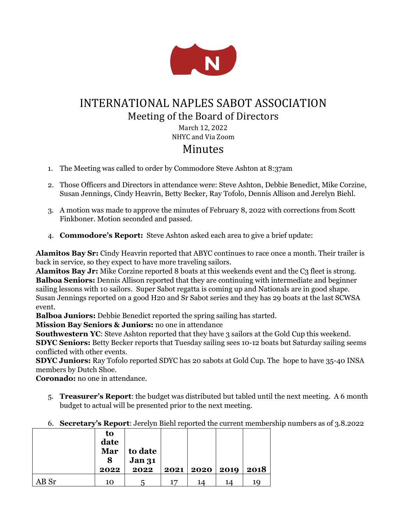

# INTERNATIONAL NAPLES SABOT ASSOCIATION Meeting of the Board of Directors March 12, 2022

NHYC and Via Zoom

## Minutes

- 1. The Meeting was called to order by Commodore Steve Ashton at 8:37am
- 2. Those Officers and Directors in attendance were: Steve Ashton, Debbie Benedict, Mike Corzine, Susan Jennings, Cindy Heavrin, Betty Becker, Ray Tofolo, Dennis Allison and Jerelyn Biehl.
- 3. A motion was made to approve the minutes of February 8, 2022 with corrections from Scott Finkboner. Motion seconded and passed.
- 4. **Commodore's Report:** Steve Ashton asked each area to give a brief update:

**Alamitos Bay Sr:** Cindy Heavrin reported that ABYC continues to race once a month. Their trailer is back in service, so they expect to have more traveling sailors.

Alamitos Bay Jr: Mike Corzine reported 8 boats at this weekends event and the C<sub>3</sub> fleet is strong. **Balboa Seniors:** Dennis Allison reported that they are continuing with intermediate and beginner sailing lessons with 10 sailors. Super Sabot regatta is coming up and Nationals are in good shape. Susan Jennings reported on a good H20 and Sr Sabot series and they has 29 boats at the last SCWSA event.

**Balboa Juniors:** Debbie Benedict reported the spring sailing has started.

**Mission Bay Seniors & Juniors:** no one in attendance

**Southwestern YC:** Steve Ashton reported that they have 3 sailors at the Gold Cup this weekend. **SDYC Seniors:** Betty Becker reports that Tuesday sailing sees 10-12 boats but Saturday sailing seems conflicted with other events.

**SDYC Juniors:** Ray Tofolo reported SDYC has 20 sabots at Gold Cup. The hope to have 35-40 INSA members by Dutch Shoe.

**Coronado:** no one in attendance.

- 5. **Treasurer's Report**: the budget was distributed but tabled until the next meeting. A 6 month budget to actual will be presented prior to the next meeting.
- 6. **Secretary's Report**: Jerelyn Biehl reported the current membership numbers as of 3.8.2022

|      | to<br>date<br>Mar<br>8<br>2022 | to date<br><b>Jan 31</b><br>2022 |    | 2021   2020   2019 |    | 2018 |
|------|--------------------------------|----------------------------------|----|--------------------|----|------|
| B Sr | 10                             | h                                | 17 | 14                 | 14 | 19   |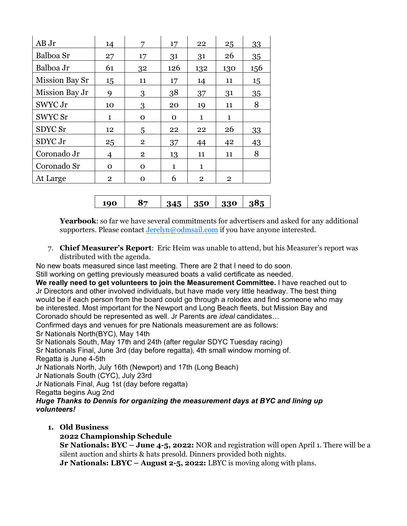| AB Jr          | 14             | 7              | 17           | 22             | 25           | 33  |
|----------------|----------------|----------------|--------------|----------------|--------------|-----|
| Balboa Sr      | 27             | 17             | 31           | 31             | 26           | 35  |
| Balboa Jr      | 61             | 32             | 126          | 132            | 130          | 156 |
| Mission Bay Sr | 15             | 11             | 17           | 14             | 11           | 15  |
| Mission Bay Jr | 9              | 3              | 38           | 37             | 31           | 35  |
| SWYC Jr        | 10             | 3              | 20           | 19             | 11           | 8   |
| SWYC Sr        | 1              | $\mathbf 0$    | $\mathbf 0$  | $\mathbf{1}$   | 1            |     |
| SDYC Sr        | 12             | 5              | 22           | 22             | 26           | 33  |
| SDYC Jr        | 25             | $\overline{2}$ | 37           | 44             | 42           | 43  |
| Coronado Jr    | 4              | $\overline{2}$ | 13           | 11             | 11           | 8   |
| Coronado Sr    | $\mathbf 0$    | $\mathbf{O}$   | $\mathbf{1}$ | $\mathbf{1}$   |              |     |
| At Large       | $\overline{2}$ | 0              | 6            | $\overline{2}$ | $\mathbf{2}$ |     |

| 190 | . రా |  | $345$   350   330   385 |  |  |
|-----|------|--|-------------------------|--|--|
|-----|------|--|-------------------------|--|--|

**Yearbook**: so far we have several commitments for advertisers and asked for any additional supporters. Please contac[t Jerelyn@odmsail.com](mailto:Jerelyn@odmsail.com) if you have anyone interested.

7. **Chief Measurer's Report**: Eric Heim was unable to attend, but his Measurer's report was distributed with the agenda.

No new boats measured since last meeting. There are 2 that I need to do soon. Still working on getting previously measured boats a valid certificate as needed.

**We really need to get volunteers to join the Measurement Committee.** I have reached out to Jr Directors and other involved individuals, but have made very little headway. The best thing would be if each person from the board could go through a rolodex and find someone who may be interested. Most important for the Newport and Long Beach fleets, but Mission Bay and Coronado should be represented as well. Jr Parents are *ideal* candidates…

Confirmed days and venues for pre Nationals measurement are as follows:

Sr Nationals North(BYC), May 14th

Sr Nationals South, May 17th and 24th (after regular SDYC Tuesday racing)

Sr Nationals Final, June 3rd (day before regatta), 4th small window morning of.

Regatta is June 4-5th

Jr Nationals North, July 16th (Newport) and 17th (Long Beach)

Jr Nationals South (CYC), July 23rd

Jr Nationals Final, Aug 1st (day before regatta)

Regatta begins Aug 2nd

*Huge Thanks to Dennis for organizing the measurement days at BYC and lining up volunteers!*

**1. Old Business**

### **2022 Championship Schedule**

**Sr Nationals: BYC – June 4-5, 2022:** NOR and registration will open April 1. There will be a silent auction and shirts & hats presold. Dinners provided both nights.

**Jr Nationals: LBYC – August 2-5, 2022:** LBYC is moving along with plans.